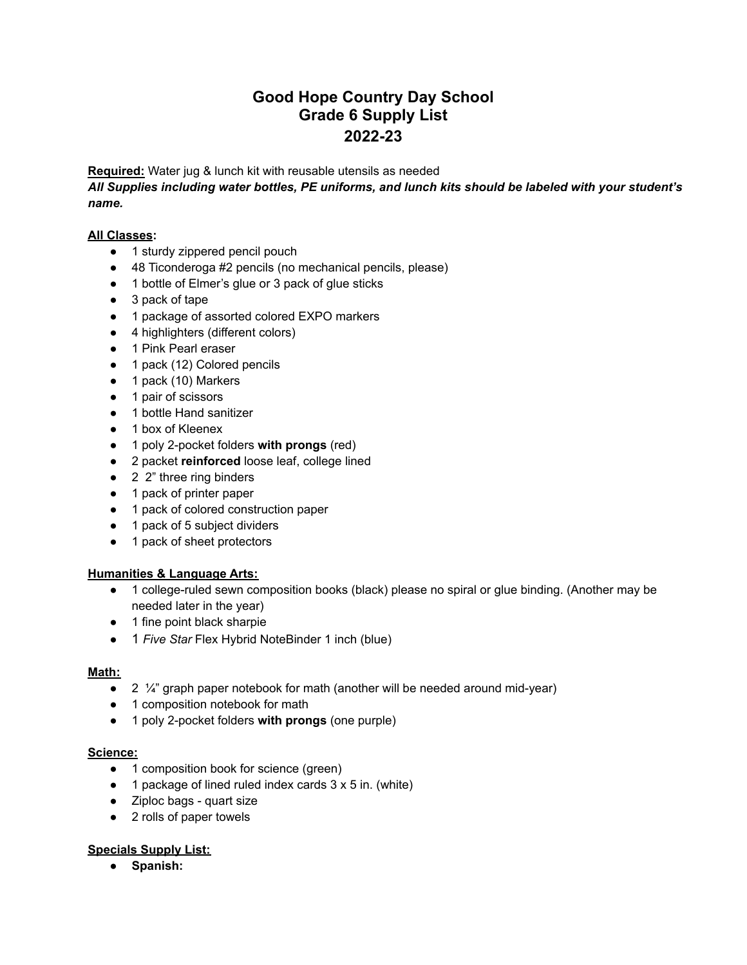# **Good Hope Country Day School Grade 6 Supply List 2022-23**

**Required:** Water jug & lunch kit with reusable utensils as needed

*All Supplies including water bottles, PE uniforms, and lunch kits should be labeled with your student's name.*

## **All Classes:**

- 1 sturdy zippered pencil pouch
- 48 Ticonderoga #2 pencils (no mechanical pencils, please)
- 1 bottle of Elmer's glue or 3 pack of glue sticks
- 3 pack of tape
- 1 package of assorted colored EXPO markers
- 4 highlighters (different colors)
- 1 Pink Pearl eraser
- 1 pack (12) Colored pencils
- 1 pack (10) Markers
- 1 pair of scissors
- 1 bottle Hand sanitizer
- 1 box of Kleenex
- 1 poly 2-pocket folders **with prongs** (red)
- 2 packet **reinforced** loose leaf, college lined
- 2 2" three ring binders
- 1 pack of printer paper
- 1 pack of colored construction paper
- 1 pack of 5 subject dividers
- 1 pack of sheet protectors

## **Humanities & Language Arts:**

- 1 college-ruled sewn composition books (black) please no spiral or glue binding. (Another may be needed later in the year)
- 1 fine point black sharpie
- 1 *Five Star* Flex Hybrid NoteBinder 1 inch (blue)

## **Math:**

- $\bullet$  2  $\frac{1}{4}$  graph paper notebook for math (another will be needed around mid-year)
- 1 composition notebook for math
- 1 poly 2-pocket folders **with prongs** (one purple)

### **Science:**

- 1 composition book for science (green)
- $\bullet$  1 package of lined ruled index cards 3 x 5 in. (white)
- Ziploc bags quart size
- 2 rolls of paper towels

## **Specials Supply List:**

● **Spanish:**